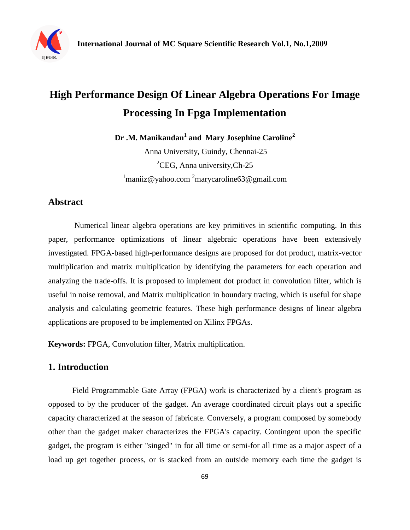

# **High Performance Design Of Linear Algebra Operations For Image Processing In Fpga Implementation**

**Dr .M. Manikandan<sup>1</sup> and Mary Josephine Caroline<sup>2</sup>**

Anna University, Guindy, Chennai-25  ${}^{2}$ CEG, Anna university, Ch-25  $1$ maniiz@yahoo.com  $2$ marycaroline63@gmail.com

# **Abstract**

Numerical linear algebra operations are key primitives in scientific computing. In this paper, performance optimizations of linear algebraic operations have been extensively investigated. FPGA-based high-performance designs are proposed for dot product, matrix-vector multiplication and matrix multiplication by identifying the parameters for each operation and analyzing the trade-offs. It is proposed to implement dot product in convolution filter, which is useful in noise removal, and Matrix multiplication in boundary tracing, which is useful for shape analysis and calculating geometric features. These high performance designs of linear algebra applications are proposed to be implemented on Xilinx FPGAs.

**Keywords:** FPGA, Convolution filter, Matrix multiplication.

# **1. Introduction**

Field Programmable Gate Array (FPGA) work is characterized by a client's program as opposed to by the producer of the gadget. An average coordinated circuit plays out a specific capacity characterized at the season of fabricate. Conversely, a program composed by somebody other than the gadget maker characterizes the FPGA's capacity. Contingent upon the specific gadget, the program is either "singed" in for all time or semi-for all time as a major aspect of a load up get together process, or is stacked from an outside memory each time the gadget is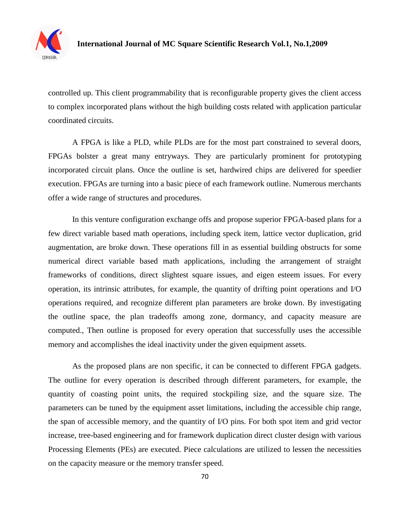

controlled up. This client programmability that is reconfigurable property gives the client access to complex incorporated plans without the high building costs related with application particular coordinated circuits.

A FPGA is like a PLD, while PLDs are for the most part constrained to several doors, FPGAs bolster a great many entryways. They are particularly prominent for prototyping incorporated circuit plans. Once the outline is set, hardwired chips are delivered for speedier execution. FPGAs are turning into a basic piece of each framework outline. Numerous merchants offer a wide range of structures and procedures.

In this venture configuration exchange offs and propose superior FPGA-based plans for a few direct variable based math operations, including speck item, lattice vector duplication, grid augmentation, are broke down. These operations fill in as essential building obstructs for some numerical direct variable based math applications, including the arrangement of straight frameworks of conditions, direct slightest square issues, and eigen esteem issues. For every operation, its intrinsic attributes, for example, the quantity of drifting point operations and I/O operations required, and recognize different plan parameters are broke down. By investigating the outline space, the plan tradeoffs among zone, dormancy, and capacity measure are computed., Then outline is proposed for every operation that successfully uses the accessible memory and accomplishes the ideal inactivity under the given equipment assets.

As the proposed plans are non specific, it can be connected to different FPGA gadgets. The outline for every operation is described through different parameters, for example, the quantity of coasting point units, the required stockpiling size, and the square size. The parameters can be tuned by the equipment asset limitations, including the accessible chip range, the span of accessible memory, and the quantity of I/O pins. For both spot item and grid vector increase, tree-based engineering and for framework duplication direct cluster design with various Processing Elements (PEs) are executed. Piece calculations are utilized to lessen the necessities on the capacity measure or the memory transfer speed.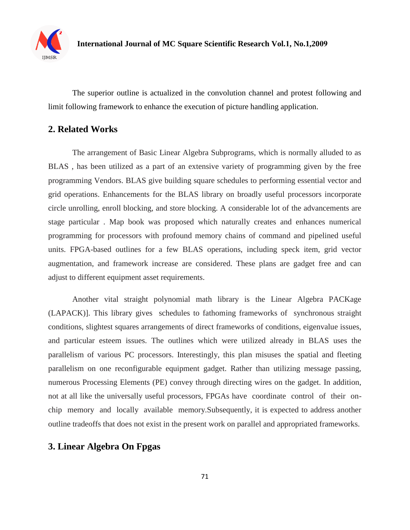

The superior outline is actualized in the convolution channel and protest following and limit following framework to enhance the execution of picture handling application.

### **2. Related Works**

The arrangement of Basic Linear Algebra Subprograms, which is normally alluded to as BLAS , has been utilized as a part of an extensive variety of programming given by the free programming Vendors. BLAS give building square schedules to performing essential vector and grid operations. Enhancements for the BLAS library on broadly useful processors incorporate circle unrolling, enroll blocking, and store blocking. A considerable lot of the advancements are stage particular . Map book was proposed which naturally creates and enhances numerical programming for processors with profound memory chains of command and pipelined useful units. FPGA-based outlines for a few BLAS operations, including speck item, grid vector augmentation, and framework increase are considered. These plans are gadget free and can adjust to different equipment asset requirements.

Another vital straight polynomial math library is the Linear Algebra PACKage (LAPACK)]. This library gives schedules to fathoming frameworks of synchronous straight conditions, slightest squares arrangements of direct frameworks of conditions, eigenvalue issues, and particular esteem issues. The outlines which were utilized already in BLAS uses the parallelism of various PC processors. Interestingly, this plan misuses the spatial and fleeting parallelism on one reconfigurable equipment gadget. Rather than utilizing message passing, numerous Processing Elements (PE) convey through directing wires on the gadget. In addition, not at all like the universally useful processors, FPGAs have coordinate control of their onchip memory and locally available memory.Subsequently, it is expected to address another outline tradeoffs that does not exist in the present work on parallel and appropriated frameworks.

# **3. Linear Algebra On Fpgas**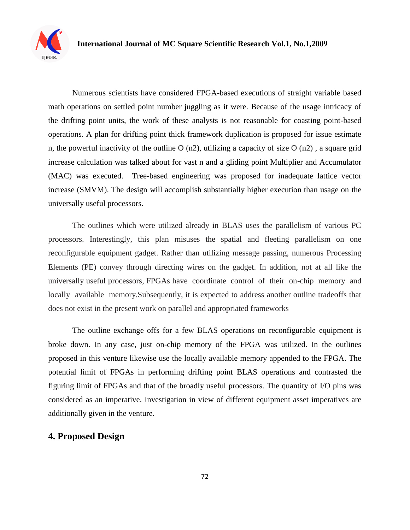

Numerous scientists have considered FPGA-based executions of straight variable based math operations on settled point number juggling as it were. Because of the usage intricacy of the drifting point units, the work of these analysts is not reasonable for coasting point-based operations. A plan for drifting point thick framework duplication is proposed for issue estimate n, the powerful inactivity of the outline O (n2), utilizing a capacity of size O (n2), a square grid increase calculation was talked about for vast n and a gliding point Multiplier and Accumulator (MAC) was executed. Tree-based engineering was proposed for inadequate lattice vector increase (SMVM). The design will accomplish substantially higher execution than usage on the universally useful processors.

The outlines which were utilized already in BLAS uses the parallelism of various PC processors. Interestingly, this plan misuses the spatial and fleeting parallelism on one reconfigurable equipment gadget. Rather than utilizing message passing, numerous Processing Elements (PE) convey through directing wires on the gadget. In addition, not at all like the universally useful processors, FPGAs have coordinate control of their on-chip memory and locally available memory. Subsequently, it is expected to address another outline tradeoffs that does not exist in the present work on parallel and appropriated frameworks

The outline exchange offs for a few BLAS operations on reconfigurable equipment is broke down. In any case, just on-chip memory of the FPGA was utilized. In the outlines proposed in this venture likewise use the locally available memory appended to the FPGA. The potential limit of FPGAs in performing drifting point BLAS operations and contrasted the figuring limit of FPGAs and that of the broadly useful processors. The quantity of I/O pins was considered as an imperative. Investigation in view of different equipment asset imperatives are additionally given in the venture.

### **4. Proposed Design**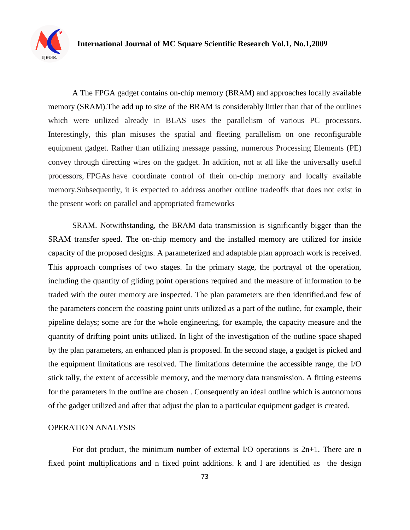

A The FPGA gadget contains on-chip memory (BRAM) and approaches locally available memory (SRAM).The add up to size of the BRAM is considerably littler than that of the outlines which were utilized already in BLAS uses the parallelism of various PC processors. Interestingly, this plan misuses the spatial and fleeting parallelism on one reconfigurable equipment gadget. Rather than utilizing message passing, numerous Processing Elements (PE) convey through directing wires on the gadget. In addition, not at all like the universally useful processors, FPGAs have coordinate control of their on-chip memory and locally available memory.Subsequently, it is expected to address another outline tradeoffs that does not exist in the present work on parallel and appropriated frameworks

SRAM. Notwithstanding, the BRAM data transmission is significantly bigger than the SRAM transfer speed. The on-chip memory and the installed memory are utilized for inside capacity of the proposed designs. A parameterized and adaptable plan approach work is received. This approach comprises of two stages. In the primary stage, the portrayal of the operation, including the quantity of gliding point operations required and the measure of information to be traded with the outer memory are inspected. The plan parameters are then identified.and few of the parameters concern the coasting point units utilized as a part of the outline, for example, their pipeline delays; some are for the whole engineering, for example, the capacity measure and the quantity of drifting point units utilized. In light of the investigation of the outline space shaped by the plan parameters, an enhanced plan is proposed. In the second stage, a gadget is picked and the equipment limitations are resolved. The limitations determine the accessible range, the I/O stick tally, the extent of accessible memory, and the memory data transmission. A fitting esteems for the parameters in the outline are chosen . Consequently an ideal outline which is autonomous of the gadget utilized and after that adjust the plan to a particular equipment gadget is created.

#### OPERATION ANALYSIS

For dot product, the minimum number of external I/O operations is  $2n+1$ . There are n fixed point multiplications and n fixed point additions. k and l are identified as the design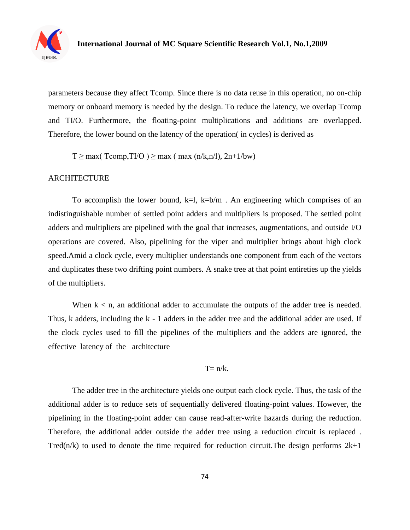

parameters because they affect Tcomp. Since there is no data reuse in this operation, no on-chip memory or onboard memory is needed by the design. To reduce the latency, we overlap Tcomp and TI/O. Furthermore, the floating-point multiplications and additions are overlapped. Therefore, the lower bound on the latency of the operation( in cycles) is derived as

 $T > max(Tcomp, TIO) > max(max, n/k, n/l), 2n+1/bw)$ 

#### **ARCHITECTURE**

To accomplish the lower bound,  $k=1$ ,  $k=b/m$ . An engineering which comprises of an indistinguishable number of settled point adders and multipliers is proposed. The settled point adders and multipliers are pipelined with the goal that increases, augmentations, and outside I/O operations are covered. Also, pipelining for the viper and multiplier brings about high clock speed.Amid a clock cycle, every multiplier understands one component from each of the vectors and duplicates these two drifting point numbers. A snake tree at that point entireties up the yields of the multipliers.

When  $k < n$ , an additional adder to accumulate the outputs of the adder tree is needed. Thus, k adders, including the k - 1 adders in the adder tree and the additional adder are used. If the clock cycles used to fill the pipelines of the multipliers and the adders are ignored, the effective latency of the architecture

### $T = n/k$ .

The adder tree in the architecture yields one output each clock cycle. Thus, the task of the additional adder is to reduce sets of sequentially delivered floating-point values. However, the pipelining in the floating-point adder can cause read-after-write hazards during the reduction. Therefore, the additional adder outside the adder tree using a reduction circuit is replaced . Tred( $n/k$ ) to used to denote the time required for reduction circuit. The design performs  $2k+1$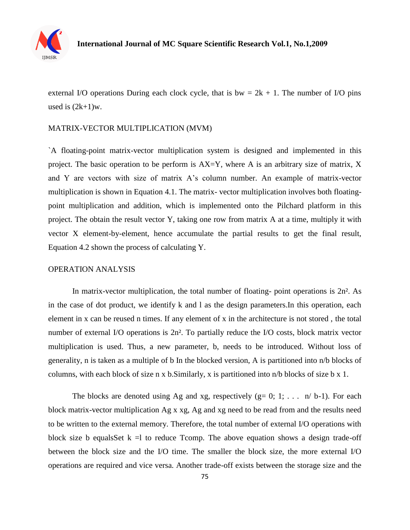

external I/O operations During each clock cycle, that is  $bw = 2k + 1$ . The number of I/O pins used is  $(2k+1)$ w.

#### MATRIX-VECTOR MULTIPLICATION (MVM)

`A floating-point matrix-vector multiplication system is designed and implemented in this project. The basic operation to be perform is  $AX=Y$ , where A is an arbitrary size of matrix, X and Y are vectors with size of matrix A's column number. An example of matrix-vector multiplication is shown in Equation 4.1. The matrix- vector multiplication involves both floatingpoint multiplication and addition, which is implemented onto the Pilchard platform in this project. The obtain the result vector Y, taking one row from matrix A at a time, multiply it with vector X element-by-element, hence accumulate the partial results to get the final result, Equation 4.2 shown the process of calculating Y.

#### OPERATION ANALYSIS

In matrix-vector multiplication, the total number of floating- point operations is  $2n^2$ . As in the case of dot product, we identify k and l as the design parameters.In this operation, each element in x can be reused n times. If any element of x in the architecture is not stored , the total number of external I/O operations is 2n². To partially reduce the I/O costs, block matrix vector multiplication is used. Thus, a new parameter, b, needs to be introduced. Without loss of generality, n is taken as a multiple of b In the blocked version, A is partitioned into n/b blocks of columns, with each block of size n x b.Similarly, x is partitioned into n/b blocks of size b x 1.

The blocks are denoted using Ag and xg, respectively  $(g= 0; 1; \ldots n/b-1)$ . For each block matrix-vector multiplication Ag x xg, Ag and xg need to be read from and the results need to be written to the external memory. Therefore, the total number of external I/O operations with block size b equals Set  $k =$ l to reduce Tcomp. The above equation shows a design trade-off between the block size and the I/O time. The smaller the block size, the more external I/O operations are required and vice versa. Another trade-off exists between the storage size and the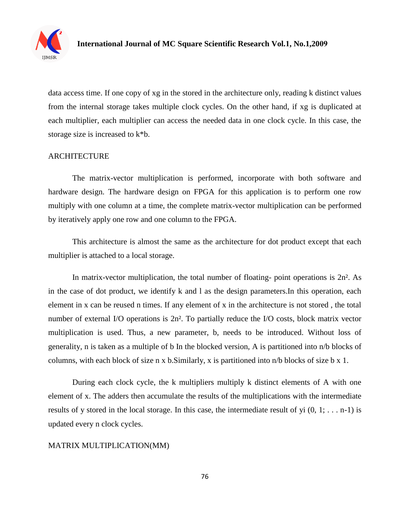

data access time. If one copy of xg in the stored in the architecture only, reading k distinct values from the internal storage takes multiple clock cycles. On the other hand, if xg is duplicated at each multiplier, each multiplier can access the needed data in one clock cycle. In this case, the storage size is increased to k\*b.

#### **ARCHITECTURE**

The matrix-vector multiplication is performed, incorporate with both software and hardware design. The hardware design on FPGA for this application is to perform one row multiply with one column at a time, the complete matrix-vector multiplication can be performed by iteratively apply one row and one column to the FPGA.

This architecture is almost the same as the architecture for dot product except that each multiplier is attached to a local storage.

In matrix-vector multiplication, the total number of floating- point operations is  $2n^2$ . As in the case of dot product, we identify k and l as the design parameters.In this operation, each element in x can be reused n times. If any element of x in the architecture is not stored , the total number of external I/O operations is 2n². To partially reduce the I/O costs, block matrix vector multiplication is used. Thus, a new parameter, b, needs to be introduced. Without loss of generality, n is taken as a multiple of b In the blocked version, A is partitioned into n/b blocks of columns, with each block of size n x b.Similarly, x is partitioned into n/b blocks of size b x 1.

During each clock cycle, the k multipliers multiply k distinct elements of A with one element of x. The adders then accumulate the results of the multiplications with the intermediate results of y stored in the local storage. In this case, the intermediate result of yi  $(0, 1; \ldots n-1)$  is updated every n clock cycles.

#### MATRIX MULTIPLICATION(MM)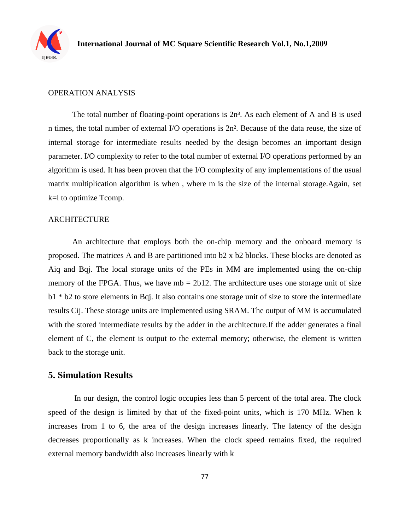

#### OPERATION ANALYSIS

The total number of floating-point operations is  $2n<sup>3</sup>$ . As each element of A and B is used n times, the total number of external I/O operations is 2n². Because of the data reuse, the size of internal storage for intermediate results needed by the design becomes an important design parameter. I/O complexity to refer to the total number of external I/O operations performed by an algorithm is used. It has been proven that the I/O complexity of any implementations of the usual matrix multiplication algorithm is when , where m is the size of the internal storage.Again, set k=l to optimize Tcomp.

#### ARCHITECTURE

An architecture that employs both the on-chip memory and the onboard memory is proposed. The matrices A and B are partitioned into b2 x b2 blocks. These blocks are denoted as Aiq and Bqj. The local storage units of the PEs in MM are implemented using the on-chip memory of the FPGA. Thus, we have  $mb = 2b12$ . The architecture uses one storage unit of size b1 \* b2 to store elements in Bqj. It also contains one storage unit of size to store the intermediate results Cij. These storage units are implemented using SRAM. The output of MM is accumulated with the stored intermediate results by the adder in the architecture.If the adder generates a final element of C, the element is output to the external memory; otherwise, the element is written back to the storage unit.

### **5. Simulation Results**

In our design, the control logic occupies less than 5 percent of the total area. The clock speed of the design is limited by that of the fixed-point units, which is 170 MHz. When k increases from 1 to 6, the area of the design increases linearly. The latency of the design decreases proportionally as k increases. When the clock speed remains fixed, the required external memory bandwidth also increases linearly with k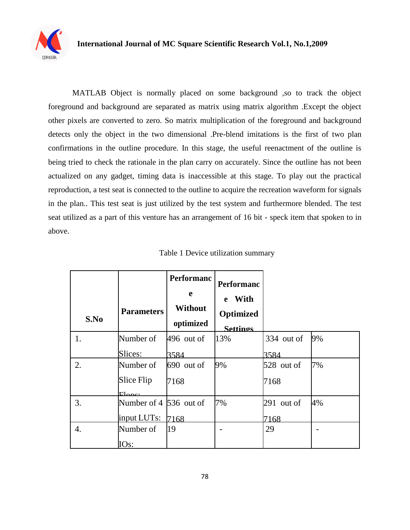

MATLAB Object is normally placed on some background ,so to track the object foreground and background are separated as matrix using matrix algorithm .Except the object other pixels are converted to zero. So matrix multiplication of the foreground and background detects only the object in the two dimensional .Pre-blend imitations is the first of two plan confirmations in the outline procedure. In this stage, the useful reenactment of the outline is being tried to check the rationale in the plan carry on accurately. Since the outline has not been actualized on any gadget, timing data is inaccessible at this stage. To play out the practical reproduction, a test seat is connected to the outline to acquire the recreation waveform for signals in the plan.. This test seat is just utilized by the test system and furthermore blended. The test seat utilized as a part of this venture has an arrangement of 16 bit - speck item that spoken to in above.

| S.No | <b>Parameters</b>                                    | <b>Performanc</b><br>e<br><b>Without</b><br>optimized | Performanc<br>With<br>e<br>Optimized<br><b>Settings</b> |                    |    |
|------|------------------------------------------------------|-------------------------------------------------------|---------------------------------------------------------|--------------------|----|
| 1.   | Number of<br>Slices:                                 | $496$ out of<br>3584                                  | 13%                                                     | 334 out of<br>3584 | 9% |
| 2.   | Number of<br>Slice Flip<br>$E1_{\alpha\alpha\alpha}$ | 690 out of<br>7168                                    | 9%                                                      | 528 out of<br>7168 | 7% |
| 3.   | Number of $4\,$ 536 out of<br>input LUTs:            | 7168                                                  | 7%                                                      | 291 out of<br>7168 | 4% |
| 4.   | Number of                                            | 19                                                    |                                                         | 29                 |    |

| Table 1 Device utilization summary |
|------------------------------------|
|                                    |

IOs: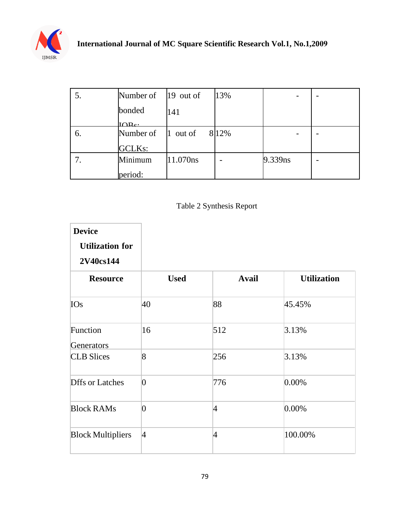

| 5. | Number of $\left 19\right $ out of     |                                                                                                   | 13% | -                        |  |
|----|----------------------------------------|---------------------------------------------------------------------------------------------------|-----|--------------------------|--|
|    | bonded                                 | 141                                                                                               |     |                          |  |
|    | $\mathbf{I}\cap \mathbf{B}_{\alpha}$ . |                                                                                                   |     |                          |  |
| 6. |                                        | Number of $\begin{bmatrix} 1 \\ 0 \end{bmatrix}$ out of $\begin{bmatrix} 8 \\ 12\% \end{bmatrix}$ |     | $\overline{\phantom{0}}$ |  |
|    | <b>GCLKs:</b>                          |                                                                                                   |     |                          |  |
|    | Minimum                                | 11.070ns                                                                                          |     | 9.339ns                  |  |
|    | period:                                |                                                                                                   |     |                          |  |



| <b>Device</b><br><b>Utilization for</b><br>2V40cs144 |                |              |                    |
|------------------------------------------------------|----------------|--------------|--------------------|
| <b>Resource</b>                                      | <b>Used</b>    | <b>Avail</b> | <b>Utilization</b> |
| <b>IOs</b>                                           | 40             | 88           | 45.45%             |
| Function<br>Generators                               | 16             | 512          | 3.13%              |
| <b>CLB</b> Slices                                    | $\overline{8}$ | 256          | 3.13%              |
| <b>Dffs or Latches</b>                               | $\overline{0}$ | 776          | 0.00%              |
| <b>Block RAMs</b>                                    | $\overline{0}$ | 4            | 0.00%              |
| <b>Block Multipliers</b>                             | 4              | 4            | 100.00%            |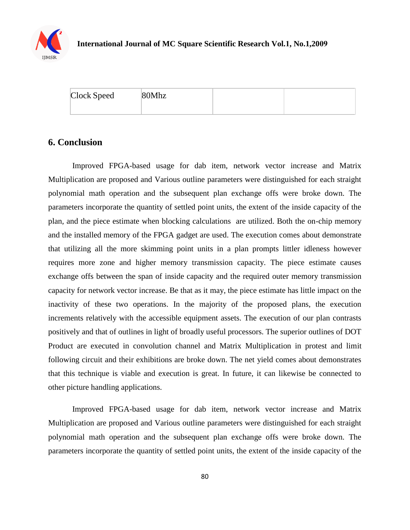

| Clock Speed | 80Mhz |  |
|-------------|-------|--|
|             |       |  |

# **6. Conclusion**

Improved FPGA-based usage for dab item, network vector increase and Matrix Multiplication are proposed and Various outline parameters were distinguished for each straight polynomial math operation and the subsequent plan exchange offs were broke down. The parameters incorporate the quantity of settled point units, the extent of the inside capacity of the plan, and the piece estimate when blocking calculations are utilized. Both the on-chip memory and the installed memory of the FPGA gadget are used. The execution comes about demonstrate that utilizing all the more skimming point units in a plan prompts littler idleness however requires more zone and higher memory transmission capacity. The piece estimate causes exchange offs between the span of inside capacity and the required outer memory transmission capacity for network vector increase. Be that as it may, the piece estimate has little impact on the inactivity of these two operations. In the majority of the proposed plans, the execution increments relatively with the accessible equipment assets. The execution of our plan contrasts positively and that of outlines in light of broadly useful processors. The superior outlines of DOT Product are executed in convolution channel and Matrix Multiplication in protest and limit following circuit and their exhibitions are broke down. The net yield comes about demonstrates that this technique is viable and execution is great. In future, it can likewise be connected to other picture handling applications.

Improved FPGA-based usage for dab item, network vector increase and Matrix Multiplication are proposed and Various outline parameters were distinguished for each straight polynomial math operation and the subsequent plan exchange offs were broke down. The parameters incorporate the quantity of settled point units, the extent of the inside capacity of the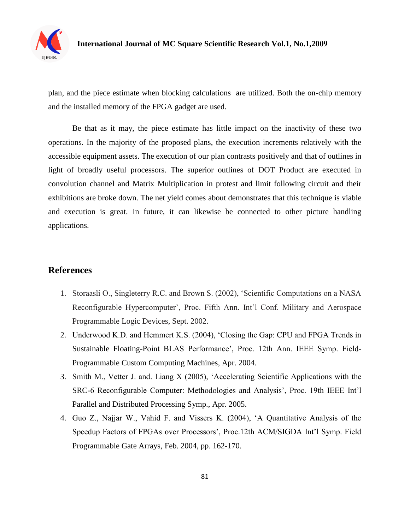

plan, and the piece estimate when blocking calculations are utilized. Both the on-chip memory and the installed memory of the FPGA gadget are used.

Be that as it may, the piece estimate has little impact on the inactivity of these two operations. In the majority of the proposed plans, the execution increments relatively with the accessible equipment assets. The execution of our plan contrasts positively and that of outlines in light of broadly useful processors. The superior outlines of DOT Product are executed in convolution channel and Matrix Multiplication in protest and limit following circuit and their exhibitions are broke down. The net yield comes about demonstrates that this technique is viable and execution is great. In future, it can likewise be connected to other picture handling applications.

# **References**

- 1. Storaasli O., Singleterry R.C. and Brown S. (2002), 'Scientific Computations on a NASA Reconfigurable Hypercomputer', Proc. Fifth Ann. Int'l Conf. Military and Aerospace Programmable Logic Devices, Sept. 2002.
- 2. Underwood K.D. and Hemmert K.S. (2004), 'Closing the Gap: CPU and FPGA Trends in Sustainable Floating-Point BLAS Performance', Proc. 12th Ann. IEEE Symp. Field-Programmable Custom Computing Machines, Apr. 2004.
- 3. Smith M., Vetter J. and. Liang X (2005), 'Accelerating Scientific Applications with the SRC-6 Reconfigurable Computer: Methodologies and Analysis', Proc. 19th IEEE Int'l Parallel and Distributed Processing Symp., Apr. 2005.
- 4. Guo Z., Najjar W., Vahid F. and Vissers K. (2004), 'A Quantitative Analysis of the Speedup Factors of FPGAs over Processors', Proc.12th ACM/SIGDA Int'l Symp. Field Programmable Gate Arrays, Feb. 2004, pp. 162-170.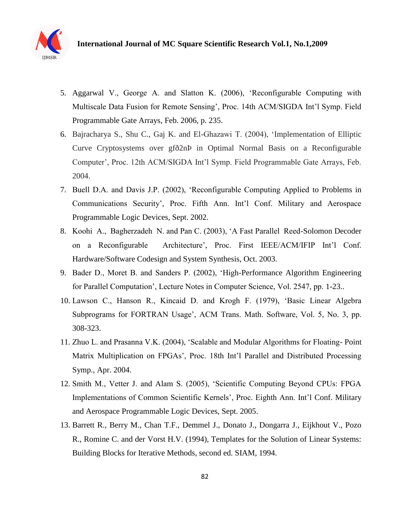

- 5. Aggarwal V., George A. and Slatton K. (2006), 'Reconfigurable Computing with Multiscale Data Fusion for Remote Sensing', Proc. 14th ACM/SIGDA Int'l Symp. Field Programmable Gate Arrays, Feb. 2006, p. 235.
- 6. Bajracharya S., Shu C., Gaj K. and El-Ghazawi T. (2004), 'Implementation of Elliptic Curve Cryptosystems over gfð2nÞ in Optimal Normal Basis on a Reconfigurable Computer', Proc. 12th ACM/SIGDA Int'l Symp. Field Programmable Gate Arrays, Feb. 2004.
- 7. Buell D.A. and Davis J.P. (2002), 'Reconfigurable Computing Applied to Problems in Communications Security', Proc. Fifth Ann. Int'l Conf. Military and Aerospace Programmable Logic Devices, Sept. 2002.
- 8. Koohi A., Bagherzadeh N. and Pan C. (2003), 'A Fast Parallel Reed-Solomon Decoder on a Reconfigurable Architecture', Proc. First IEEE/ACM/IFIP Int'l Conf. Hardware/Software Codesign and System Synthesis, Oct. 2003.
- 9. Bader D., Moret B. and Sanders P. (2002), 'High-Performance Algorithm Engineering for Parallel Computation', Lecture Notes in Computer Science, Vol. 2547, pp. 1-23..
- 10. Lawson C., Hanson R., Kincaid D. and Krogh F. (1979), 'Basic Linear Algebra Subprograms for FORTRAN Usage', ACM Trans. Math. Software, Vol. 5, No. 3, pp. 308-323.
- 11. Zhuo L. and Prasanna V.K. (2004), 'Scalable and Modular Algorithms for Floating- Point Matrix Multiplication on FPGAs', Proc. 18th Int'l Parallel and Distributed Processing Symp., Apr. 2004.
- 12. Smith M., Vetter J. and Alam S. (2005), 'Scientific Computing Beyond CPUs: FPGA Implementations of Common Scientific Kernels', Proc. Eighth Ann. Int'l Conf. Military and Aerospace Programmable Logic Devices, Sept. 2005.
- 13. Barrett R., Berry M., Chan T.F., Demmel J., Donato J., Dongarra J., Eijkhout V., Pozo R., Romine C. and der Vorst H.V. (1994), Templates for the Solution of Linear Systems: Building Blocks for Iterative Methods, second ed. SIAM, 1994.